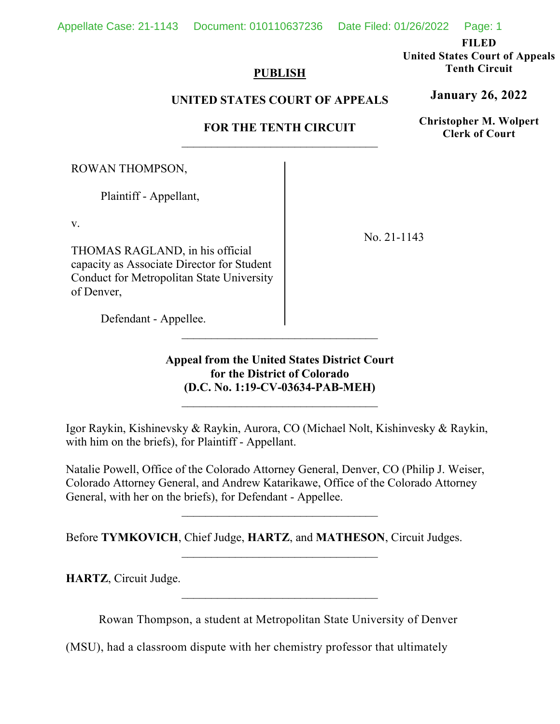**FILED** 

**United States Court of Appeals Tenth Circuit** 

## **PUBLISH**

# **UNITED STATES COURT OF APPEALS**

# **FOR THE TENTH CIRCUIT**

ROWAN THOMPSON,

Plaintiff - Appellant,

v.

THOMAS RAGLAND, in his official capacity as Associate Director for Student Conduct for Metropolitan State University of Denver,

No. 21-1143

Defendant - Appellee.

# **Appeal from the United States District Court for the District of Colorado (D.C. No. 1:19-CV-03634-PAB-MEH)**

 $\mathcal{L}_\text{max}$ 

Igor Raykin, Kishinevsky & Raykin, Aurora, CO (Michael Nolt, Kishinvesky & Raykin, with him on the briefs), for Plaintiff - Appellant.

Natalie Powell, Office of the Colorado Attorney General, Denver, CO (Philip J. Weiser, Colorado Attorney General, and Andrew Katarikawe, Office of the Colorado Attorney General, with her on the briefs), for Defendant - Appellee.

Before **TYMKOVICH**, Chief Judge, **HARTZ**, and **MATHESON**, Circuit Judges.

**HARTZ**, Circuit Judge.

Rowan Thompson, a student at Metropolitan State University of Denver

(MSU), had a classroom dispute with her chemistry professor that ultimately

**January 26, 2022**

**Christopher M. Wolpert Clerk of Court**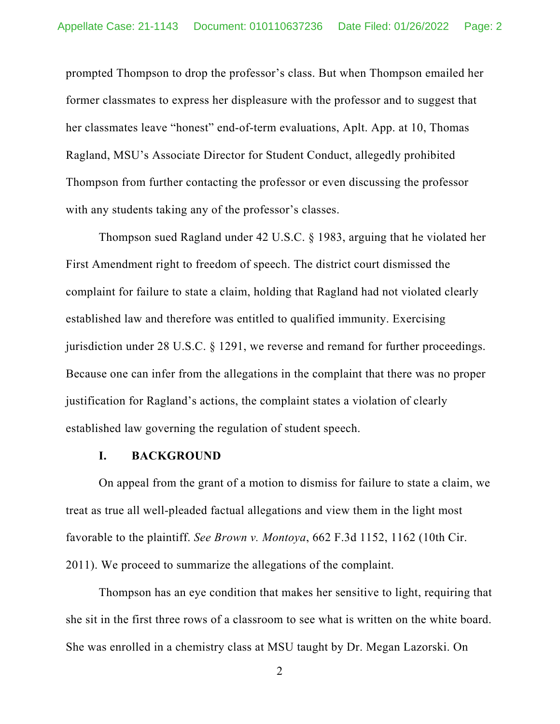prompted Thompson to drop the professor's class. But when Thompson emailed her former classmates to express her displeasure with the professor and to suggest that her classmates leave "honest" end-of-term evaluations, Aplt. App. at 10, Thomas Ragland, MSU's Associate Director for Student Conduct, allegedly prohibited Thompson from further contacting the professor or even discussing the professor with any students taking any of the professor's classes.

Thompson sued Ragland under 42 U.S.C. § 1983, arguing that he violated her First Amendment right to freedom of speech. The district court dismissed the complaint for failure to state a claim, holding that Ragland had not violated clearly established law and therefore was entitled to qualified immunity. Exercising jurisdiction under 28 U.S.C. § 1291, we reverse and remand for further proceedings. Because one can infer from the allegations in the complaint that there was no proper justification for Ragland's actions, the complaint states a violation of clearly established law governing the regulation of student speech.

### **I. BACKGROUND**

On appeal from the grant of a motion to dismiss for failure to state a claim, we treat as true all well-pleaded factual allegations and view them in the light most favorable to the plaintiff. *See Brown v. Montoya*, 662 F.3d 1152, 1162 (10th Cir. 2011). We proceed to summarize the allegations of the complaint.

Thompson has an eye condition that makes her sensitive to light, requiring that she sit in the first three rows of a classroom to see what is written on the white board. She was enrolled in a chemistry class at MSU taught by Dr. Megan Lazorski. On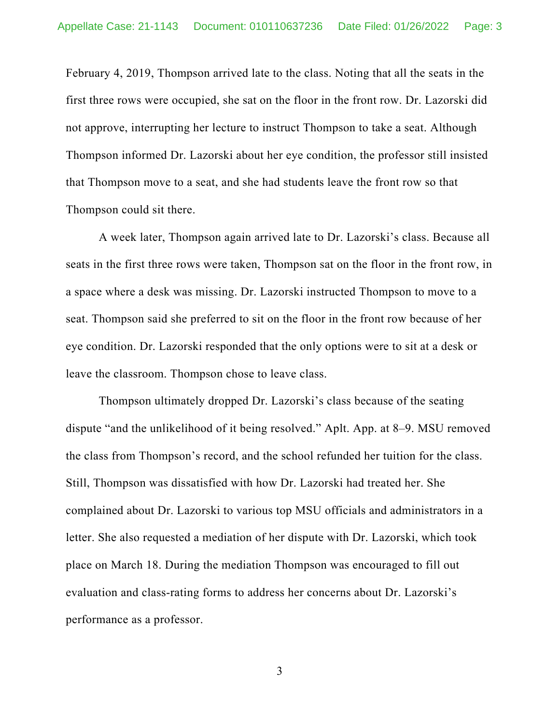February 4, 2019, Thompson arrived late to the class. Noting that all the seats in the first three rows were occupied, she sat on the floor in the front row. Dr. Lazorski did not approve, interrupting her lecture to instruct Thompson to take a seat. Although Thompson informed Dr. Lazorski about her eye condition, the professor still insisted that Thompson move to a seat, and she had students leave the front row so that Thompson could sit there.

A week later, Thompson again arrived late to Dr. Lazorski's class. Because all seats in the first three rows were taken, Thompson sat on the floor in the front row, in a space where a desk was missing. Dr. Lazorski instructed Thompson to move to a seat. Thompson said she preferred to sit on the floor in the front row because of her eye condition. Dr. Lazorski responded that the only options were to sit at a desk or leave the classroom. Thompson chose to leave class.

Thompson ultimately dropped Dr. Lazorski's class because of the seating dispute "and the unlikelihood of it being resolved." Aplt. App. at 8–9. MSU removed the class from Thompson's record, and the school refunded her tuition for the class. Still, Thompson was dissatisfied with how Dr. Lazorski had treated her. She complained about Dr. Lazorski to various top MSU officials and administrators in a letter. She also requested a mediation of her dispute with Dr. Lazorski, which took place on March 18. During the mediation Thompson was encouraged to fill out evaluation and class-rating forms to address her concerns about Dr. Lazorski's performance as a professor.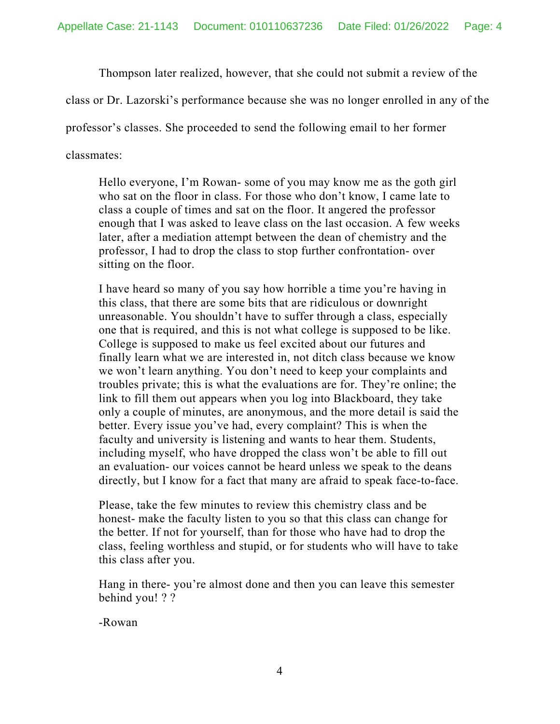Thompson later realized, however, that she could not submit a review of the

class or Dr. Lazorski's performance because she was no longer enrolled in any of the

professor's classes. She proceeded to send the following email to her former

classmates:

Hello everyone, I'm Rowan- some of you may know me as the goth girl who sat on the floor in class. For those who don't know, I came late to class a couple of times and sat on the floor. It angered the professor enough that I was asked to leave class on the last occasion. A few weeks later, after a mediation attempt between the dean of chemistry and the professor, I had to drop the class to stop further confrontation- over sitting on the floor.

I have heard so many of you say how horrible a time you're having in this class, that there are some bits that are ridiculous or downright unreasonable. You shouldn't have to suffer through a class, especially one that is required, and this is not what college is supposed to be like. College is supposed to make us feel excited about our futures and finally learn what we are interested in, not ditch class because we know we won't learn anything. You don't need to keep your complaints and troubles private; this is what the evaluations are for. They're online; the link to fill them out appears when you log into Blackboard, they take only a couple of minutes, are anonymous, and the more detail is said the better. Every issue you've had, every complaint? This is when the faculty and university is listening and wants to hear them. Students, including myself, who have dropped the class won't be able to fill out an evaluation- our voices cannot be heard unless we speak to the deans directly, but I know for a fact that many are afraid to speak face-to-face.

Please, take the few minutes to review this chemistry class and be honest- make the faculty listen to you so that this class can change for the better. If not for yourself, than for those who have had to drop the class, feeling worthless and stupid, or for students who will have to take this class after you.

Hang in there- you're almost done and then you can leave this semester behind you! ? ?

-Rowan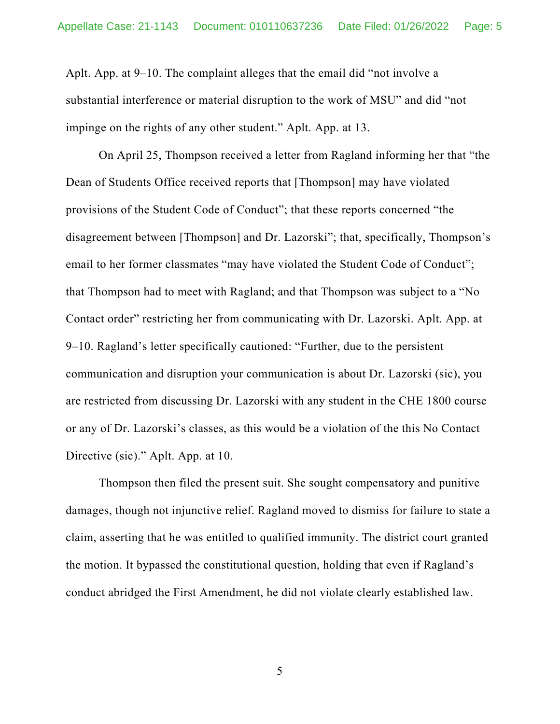Aplt. App. at 9–10. The complaint alleges that the email did "not involve a substantial interference or material disruption to the work of MSU" and did "not impinge on the rights of any other student." Aplt. App. at 13.

On April 25, Thompson received a letter from Ragland informing her that "the Dean of Students Office received reports that [Thompson] may have violated provisions of the Student Code of Conduct"; that these reports concerned "the disagreement between [Thompson] and Dr. Lazorski"; that, specifically, Thompson's email to her former classmates "may have violated the Student Code of Conduct"; that Thompson had to meet with Ragland; and that Thompson was subject to a "No Contact order" restricting her from communicating with Dr. Lazorski. Aplt. App. at 9–10. Ragland's letter specifically cautioned: "Further, due to the persistent communication and disruption your communication is about Dr. Lazorski (sic), you are restricted from discussing Dr. Lazorski with any student in the CHE 1800 course or any of Dr. Lazorski's classes, as this would be a violation of the this No Contact Directive (sic)." Aplt. App. at 10.

Thompson then filed the present suit. She sought compensatory and punitive damages, though not injunctive relief. Ragland moved to dismiss for failure to state a claim, asserting that he was entitled to qualified immunity. The district court granted the motion. It bypassed the constitutional question, holding that even if Ragland's conduct abridged the First Amendment, he did not violate clearly established law.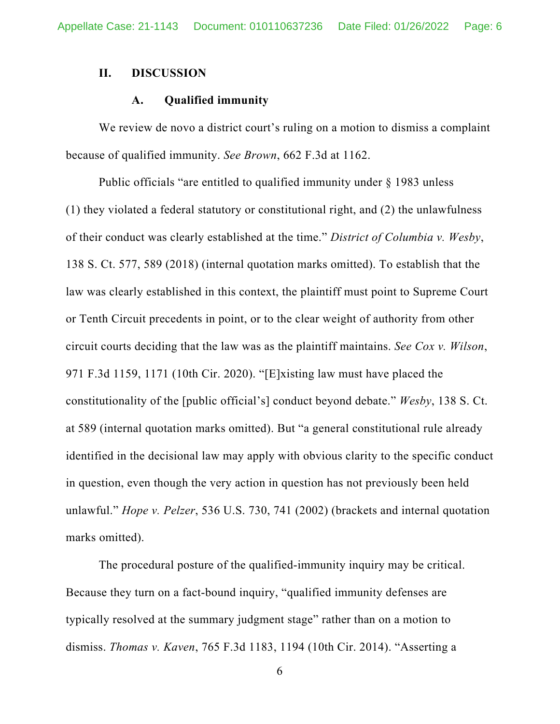### **II. DISCUSSION**

### **A. Qualified immunity**

We review de novo a district court's ruling on a motion to dismiss a complaint because of qualified immunity. *See Brown*, 662 F.3d at 1162.

Public officials "are entitled to qualified immunity under § 1983 unless (1) they violated a federal statutory or constitutional right, and (2) the unlawfulness of their conduct was clearly established at the time." *District of Columbia v. Wesby*, 138 S. Ct. 577, 589 (2018) (internal quotation marks omitted). To establish that the law was clearly established in this context, the plaintiff must point to Supreme Court or Tenth Circuit precedents in point, or to the clear weight of authority from other circuit courts deciding that the law was as the plaintiff maintains. *See Cox v. Wilson*, 971 F.3d 1159, 1171 (10th Cir. 2020). "[E]xisting law must have placed the constitutionality of the [public official's] conduct beyond debate." *Wesby*, 138 S. Ct. at 589 (internal quotation marks omitted). But "a general constitutional rule already identified in the decisional law may apply with obvious clarity to the specific conduct in question, even though the very action in question has not previously been held unlawful." *Hope v. Pelzer*, 536 U.S. 730, 741 (2002) (brackets and internal quotation marks omitted).

The procedural posture of the qualified-immunity inquiry may be critical. Because they turn on a fact-bound inquiry, "qualified immunity defenses are typically resolved at the summary judgment stage" rather than on a motion to dismiss. *Thomas v. Kaven*, 765 F.3d 1183, 1194 (10th Cir. 2014). "Asserting a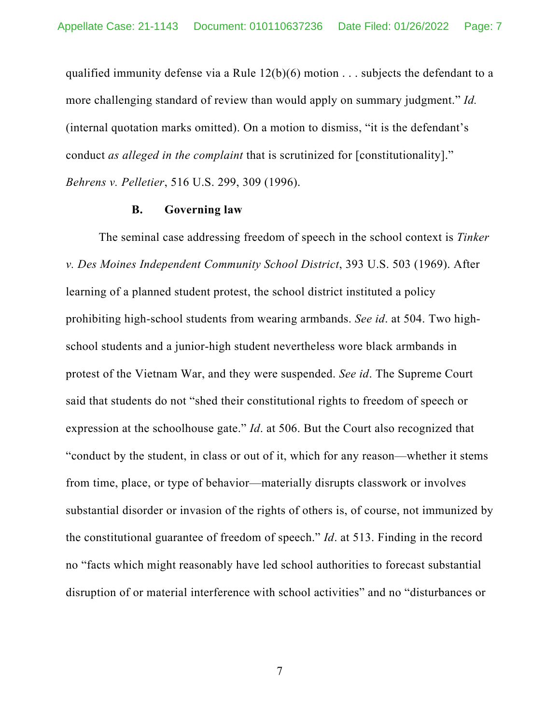qualified immunity defense via a Rule  $12(b)(6)$  motion . . . subjects the defendant to a more challenging standard of review than would apply on summary judgment." *Id.* (internal quotation marks omitted). On a motion to dismiss, "it is the defendant's conduct *as alleged in the complaint* that is scrutinized for [constitutionality]." *Behrens v. Pelletier*, 516 U.S. 299, 309 (1996).

#### **B. Governing law**

The seminal case addressing freedom of speech in the school context is *Tinker v. Des Moines Independent Community School District*, 393 U.S. 503 (1969). After learning of a planned student protest, the school district instituted a policy prohibiting high-school students from wearing armbands. *See id*. at 504. Two highschool students and a junior-high student nevertheless wore black armbands in protest of the Vietnam War, and they were suspended. *See id*. The Supreme Court said that students do not "shed their constitutional rights to freedom of speech or expression at the schoolhouse gate." *Id*. at 506. But the Court also recognized that "conduct by the student, in class or out of it, which for any reason—whether it stems from time, place, or type of behavior—materially disrupts classwork or involves substantial disorder or invasion of the rights of others is, of course, not immunized by the constitutional guarantee of freedom of speech." *Id*. at 513. Finding in the record no "facts which might reasonably have led school authorities to forecast substantial disruption of or material interference with school activities" and no "disturbances or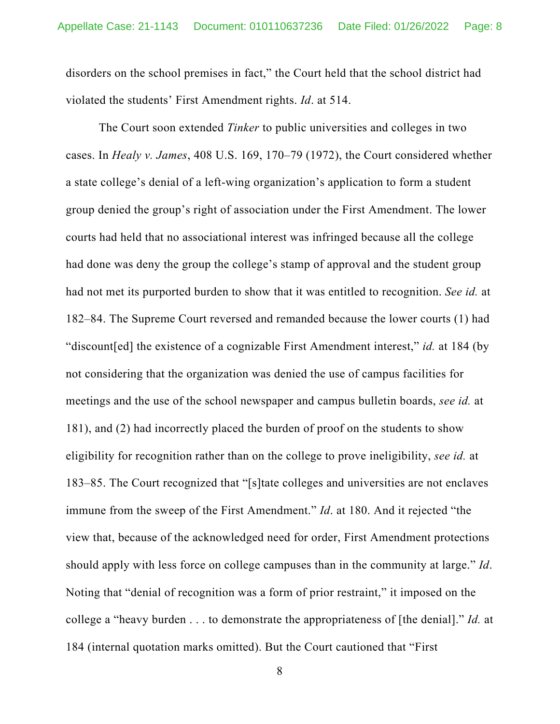disorders on the school premises in fact," the Court held that the school district had violated the students' First Amendment rights. *Id*. at 514.

The Court soon extended *Tinker* to public universities and colleges in two cases. In *Healy v. James*, 408 U.S. 169, 170–79 (1972), the Court considered whether a state college's denial of a left-wing organization's application to form a student group denied the group's right of association under the First Amendment. The lower courts had held that no associational interest was infringed because all the college had done was deny the group the college's stamp of approval and the student group had not met its purported burden to show that it was entitled to recognition. *See id.* at 182–84. The Supreme Court reversed and remanded because the lower courts (1) had "discount[ed] the existence of a cognizable First Amendment interest," *id.* at 184 (by not considering that the organization was denied the use of campus facilities for meetings and the use of the school newspaper and campus bulletin boards, *see id.* at 181), and (2) had incorrectly placed the burden of proof on the students to show eligibility for recognition rather than on the college to prove ineligibility, *see id.* at 183–85. The Court recognized that "[s]tate colleges and universities are not enclaves immune from the sweep of the First Amendment." *Id*. at 180. And it rejected "the view that, because of the acknowledged need for order, First Amendment protections should apply with less force on college campuses than in the community at large." *Id*. Noting that "denial of recognition was a form of prior restraint," it imposed on the college a "heavy burden . . . to demonstrate the appropriateness of [the denial]." *Id.* at 184 (internal quotation marks omitted). But the Court cautioned that "First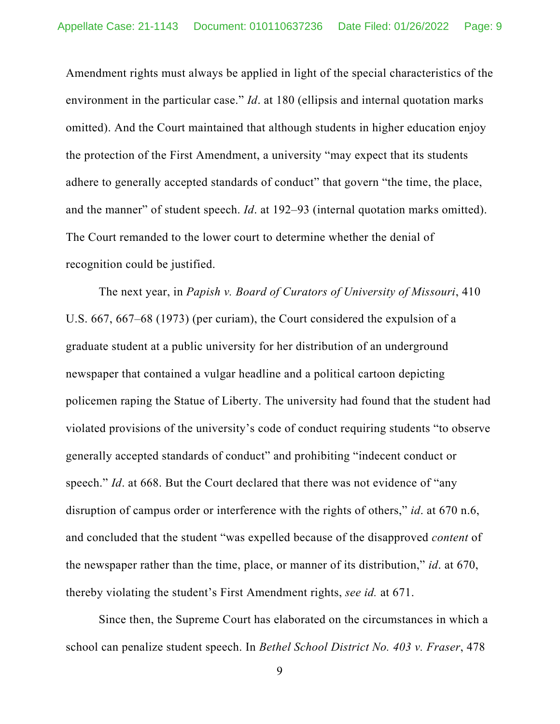Amendment rights must always be applied in light of the special characteristics of the environment in the particular case." *Id*. at 180 (ellipsis and internal quotation marks omitted). And the Court maintained that although students in higher education enjoy the protection of the First Amendment, a university "may expect that its students adhere to generally accepted standards of conduct" that govern "the time, the place, and the manner" of student speech. *Id*. at 192–93 (internal quotation marks omitted). The Court remanded to the lower court to determine whether the denial of recognition could be justified.

The next year, in *Papish v. Board of Curators of University of Missouri*, 410 U.S. 667, 667–68 (1973) (per curiam), the Court considered the expulsion of a graduate student at a public university for her distribution of an underground newspaper that contained a vulgar headline and a political cartoon depicting policemen raping the Statue of Liberty. The university had found that the student had violated provisions of the university's code of conduct requiring students "to observe generally accepted standards of conduct" and prohibiting "indecent conduct or speech." *Id.* at 668. But the Court declared that there was not evidence of "any" disruption of campus order or interference with the rights of others," *id*. at 670 n.6, and concluded that the student "was expelled because of the disapproved *content* of the newspaper rather than the time, place, or manner of its distribution," *id*. at 670, thereby violating the student's First Amendment rights, *see id.* at 671.

Since then, the Supreme Court has elaborated on the circumstances in which a school can penalize student speech. In *Bethel School District No. 403 v. Fraser*, 478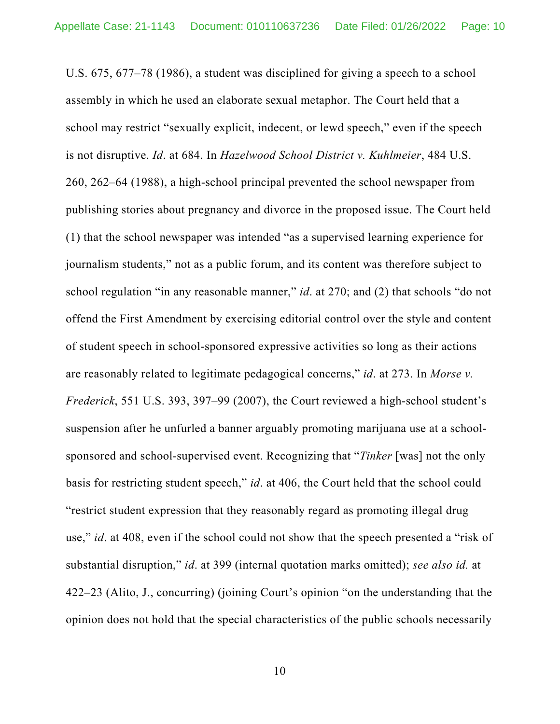U.S. 675, 677–78 (1986), a student was disciplined for giving a speech to a school assembly in which he used an elaborate sexual metaphor. The Court held that a school may restrict "sexually explicit, indecent, or lewd speech," even if the speech is not disruptive. *Id*. at 684. In *Hazelwood School District v. Kuhlmeier*, 484 U.S. 260, 262–64 (1988), a high-school principal prevented the school newspaper from publishing stories about pregnancy and divorce in the proposed issue. The Court held (1) that the school newspaper was intended "as a supervised learning experience for journalism students," not as a public forum, and its content was therefore subject to school regulation "in any reasonable manner," *id*. at 270; and (2) that schools "do not offend the First Amendment by exercising editorial control over the style and content of student speech in school-sponsored expressive activities so long as their actions are reasonably related to legitimate pedagogical concerns," *id*. at 273. In *Morse v. Frederick*, 551 U.S. 393, 397–99 (2007), the Court reviewed a high-school student's suspension after he unfurled a banner arguably promoting marijuana use at a schoolsponsored and school-supervised event. Recognizing that "*Tinker* [was] not the only basis for restricting student speech," *id*. at 406, the Court held that the school could "restrict student expression that they reasonably regard as promoting illegal drug use," *id*. at 408, even if the school could not show that the speech presented a "risk of substantial disruption," *id*. at 399 (internal quotation marks omitted); *see also id.* at 422–23 (Alito, J., concurring) (joining Court's opinion "on the understanding that the opinion does not hold that the special characteristics of the public schools necessarily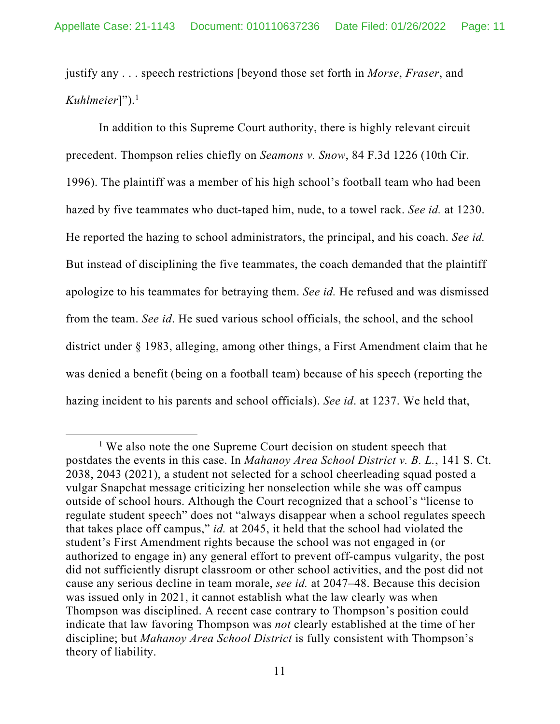justify any . . . speech restrictions [beyond those set forth in *Morse*, *Fraser*, and *Kuhlmeier*]").1

In addition to this Supreme Court authority, there is highly relevant circuit precedent. Thompson relies chiefly on *Seamons v. Snow*, 84 F.3d 1226 (10th Cir. 1996). The plaintiff was a member of his high school's football team who had been hazed by five teammates who duct-taped him, nude, to a towel rack. *See id.* at 1230. He reported the hazing to school administrators, the principal, and his coach. *See id.*  But instead of disciplining the five teammates, the coach demanded that the plaintiff apologize to his teammates for betraying them. *See id.* He refused and was dismissed from the team. *See id*. He sued various school officials, the school, and the school district under § 1983, alleging, among other things, a First Amendment claim that he was denied a benefit (being on a football team) because of his speech (reporting the hazing incident to his parents and school officials). *See id*. at 1237. We held that,

<sup>&</sup>lt;sup>1</sup> We also note the one Supreme Court decision on student speech that postdates the events in this case. In *Mahanoy Area School District v. B. L.*, 141 S. Ct. 2038, 2043 (2021), a student not selected for a school cheerleading squad posted a vulgar Snapchat message criticizing her nonselection while she was off campus outside of school hours. Although the Court recognized that a school's "license to regulate student speech" does not "always disappear when a school regulates speech that takes place off campus," *id.* at 2045, it held that the school had violated the student's First Amendment rights because the school was not engaged in (or authorized to engage in) any general effort to prevent off-campus vulgarity, the post did not sufficiently disrupt classroom or other school activities, and the post did not cause any serious decline in team morale, *see id.* at 2047–48. Because this decision was issued only in 2021, it cannot establish what the law clearly was when Thompson was disciplined. A recent case contrary to Thompson's position could indicate that law favoring Thompson was *not* clearly established at the time of her discipline; but *Mahanoy Area School District* is fully consistent with Thompson's theory of liability.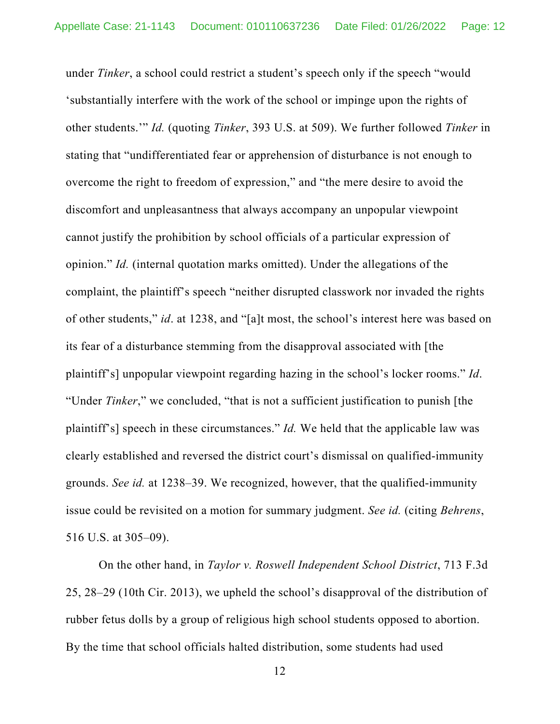under *Tinker*, a school could restrict a student's speech only if the speech "would 'substantially interfere with the work of the school or impinge upon the rights of other students.'" *Id.* (quoting *Tinker*, 393 U.S. at 509). We further followed *Tinker* in stating that "undifferentiated fear or apprehension of disturbance is not enough to overcome the right to freedom of expression," and "the mere desire to avoid the discomfort and unpleasantness that always accompany an unpopular viewpoint cannot justify the prohibition by school officials of a particular expression of opinion." *Id.* (internal quotation marks omitted). Under the allegations of the complaint, the plaintiff's speech "neither disrupted classwork nor invaded the rights of other students," *id*. at 1238, and "[a]t most, the school's interest here was based on its fear of a disturbance stemming from the disapproval associated with [the plaintiff's] unpopular viewpoint regarding hazing in the school's locker rooms." *Id*. "Under *Tinker*," we concluded, "that is not a sufficient justification to punish [the plaintiff's] speech in these circumstances." *Id.* We held that the applicable law was clearly established and reversed the district court's dismissal on qualified-immunity grounds. *See id.* at 1238–39. We recognized, however, that the qualified-immunity issue could be revisited on a motion for summary judgment. *See id.* (citing *Behrens*, 516 U.S. at 305–09).

On the other hand, in *Taylor v. Roswell Independent School District*, 713 F.3d 25, 28–29 (10th Cir. 2013), we upheld the school's disapproval of the distribution of rubber fetus dolls by a group of religious high school students opposed to abortion. By the time that school officials halted distribution, some students had used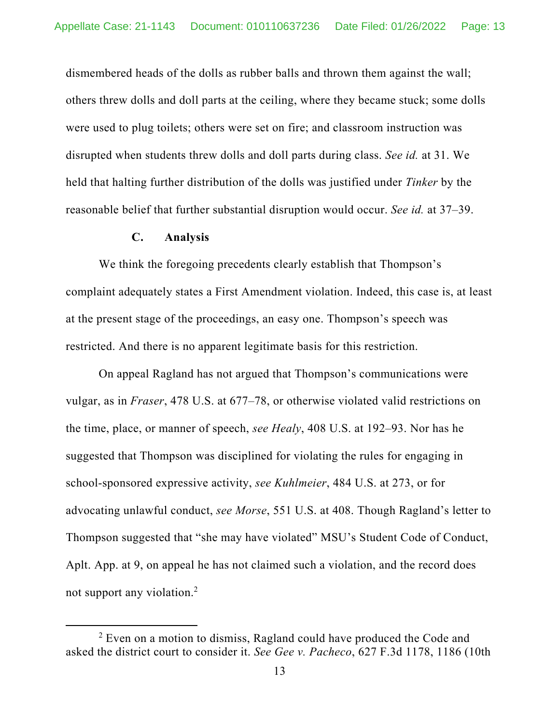dismembered heads of the dolls as rubber balls and thrown them against the wall; others threw dolls and doll parts at the ceiling, where they became stuck; some dolls were used to plug toilets; others were set on fire; and classroom instruction was disrupted when students threw dolls and doll parts during class. *See id.* at 31. We held that halting further distribution of the dolls was justified under *Tinker* by the reasonable belief that further substantial disruption would occur. *See id.* at 37–39.

## **C. Analysis**

 We think the foregoing precedents clearly establish that Thompson's complaint adequately states a First Amendment violation. Indeed, this case is, at least at the present stage of the proceedings, an easy one. Thompson's speech was restricted. And there is no apparent legitimate basis for this restriction.

On appeal Ragland has not argued that Thompson's communications were vulgar, as in *Fraser*, 478 U.S. at 677–78, or otherwise violated valid restrictions on the time, place, or manner of speech, *see Healy*, 408 U.S. at 192–93. Nor has he suggested that Thompson was disciplined for violating the rules for engaging in school-sponsored expressive activity, *see Kuhlmeier*, 484 U.S. at 273, or for advocating unlawful conduct, *see Morse*, 551 U.S. at 408. Though Ragland's letter to Thompson suggested that "she may have violated" MSU's Student Code of Conduct, Aplt. App. at 9, on appeal he has not claimed such a violation, and the record does not support any violation.2

 $2$  Even on a motion to dismiss, Ragland could have produced the Code and asked the district court to consider it. *See Gee v. Pacheco*, 627 F.3d 1178, 1186 (10th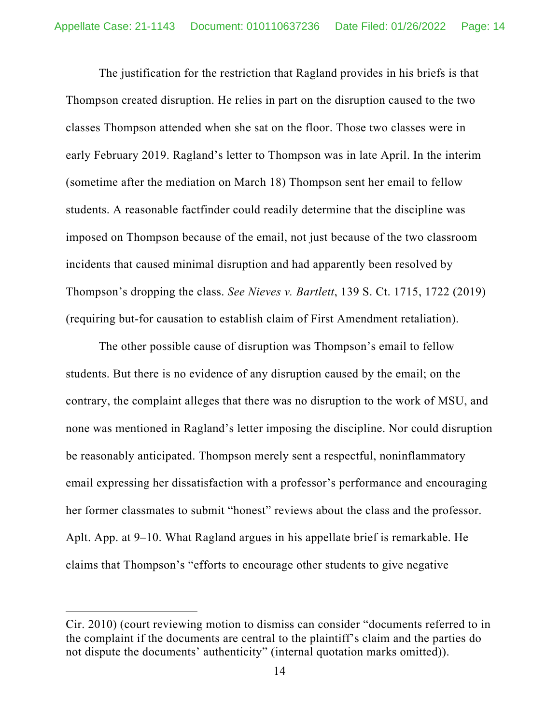The justification for the restriction that Ragland provides in his briefs is that Thompson created disruption. He relies in part on the disruption caused to the two classes Thompson attended when she sat on the floor. Those two classes were in early February 2019. Ragland's letter to Thompson was in late April. In the interim (sometime after the mediation on March 18) Thompson sent her email to fellow students. A reasonable factfinder could readily determine that the discipline was imposed on Thompson because of the email, not just because of the two classroom incidents that caused minimal disruption and had apparently been resolved by Thompson's dropping the class. *See Nieves v. Bartlett*, 139 S. Ct. 1715, 1722 (2019) (requiring but-for causation to establish claim of First Amendment retaliation).

The other possible cause of disruption was Thompson's email to fellow students. But there is no evidence of any disruption caused by the email; on the contrary, the complaint alleges that there was no disruption to the work of MSU, and none was mentioned in Ragland's letter imposing the discipline. Nor could disruption be reasonably anticipated. Thompson merely sent a respectful, noninflammatory email expressing her dissatisfaction with a professor's performance and encouraging her former classmates to submit "honest" reviews about the class and the professor. Aplt. App. at 9–10. What Ragland argues in his appellate brief is remarkable. He claims that Thompson's "efforts to encourage other students to give negative

Cir. 2010) (court reviewing motion to dismiss can consider "documents referred to in the complaint if the documents are central to the plaintiff's claim and the parties do not dispute the documents' authenticity" (internal quotation marks omitted)).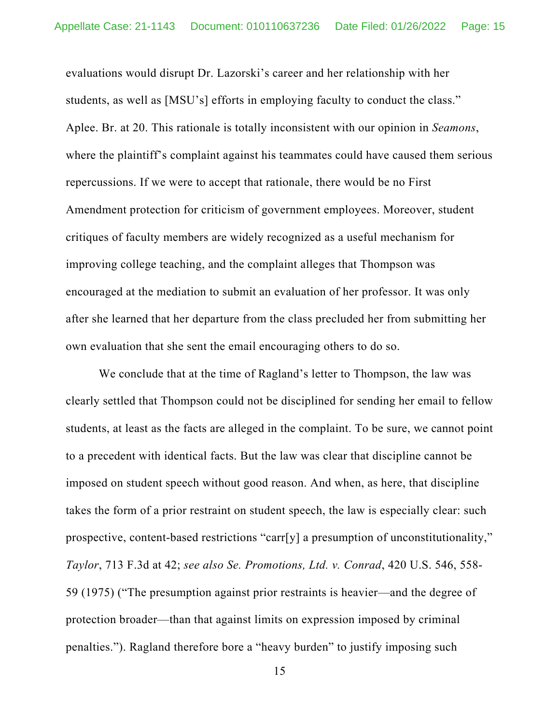evaluations would disrupt Dr. Lazorski's career and her relationship with her students, as well as [MSU's] efforts in employing faculty to conduct the class." Aplee. Br. at 20. This rationale is totally inconsistent with our opinion in *Seamons*, where the plaintiff's complaint against his teammates could have caused them serious repercussions. If we were to accept that rationale, there would be no First Amendment protection for criticism of government employees. Moreover, student critiques of faculty members are widely recognized as a useful mechanism for improving college teaching, and the complaint alleges that Thompson was encouraged at the mediation to submit an evaluation of her professor. It was only after she learned that her departure from the class precluded her from submitting her own evaluation that she sent the email encouraging others to do so.

We conclude that at the time of Ragland's letter to Thompson, the law was clearly settled that Thompson could not be disciplined for sending her email to fellow students, at least as the facts are alleged in the complaint. To be sure, we cannot point to a precedent with identical facts. But the law was clear that discipline cannot be imposed on student speech without good reason. And when, as here, that discipline takes the form of a prior restraint on student speech, the law is especially clear: such prospective, content-based restrictions "carr[y] a presumption of unconstitutionality," *Taylor*, 713 F.3d at 42; *see also Se. Promotions, Ltd. v. Conrad*, 420 U.S. 546, 558- 59 (1975) ("The presumption against prior restraints is heavier—and the degree of protection broader—than that against limits on expression imposed by criminal penalties."). Ragland therefore bore a "heavy burden" to justify imposing such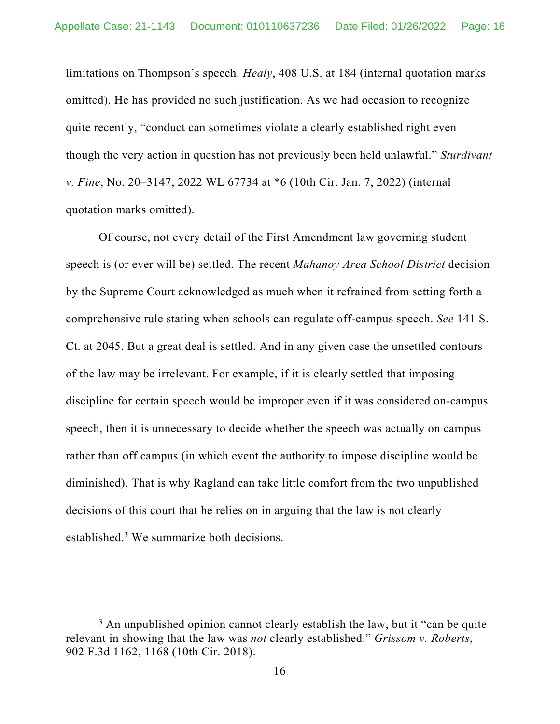limitations on Thompson's speech. *Healy*, 408 U.S. at 184 (internal quotation marks omitted). He has provided no such justification. As we had occasion to recognize quite recently, "conduct can sometimes violate a clearly established right even though the very action in question has not previously been held unlawful." *Sturdivant v. Fine*, No. 20–3147, 2022 WL 67734 at \*6 (10th Cir. Jan. 7, 2022) (internal quotation marks omitted).

 Of course, not every detail of the First Amendment law governing student speech is (or ever will be) settled. The recent *Mahanoy Area School District* decision by the Supreme Court acknowledged as much when it refrained from setting forth a comprehensive rule stating when schools can regulate off-campus speech. *See* 141 S. Ct. at 2045. But a great deal is settled. And in any given case the unsettled contours of the law may be irrelevant. For example, if it is clearly settled that imposing discipline for certain speech would be improper even if it was considered on-campus speech, then it is unnecessary to decide whether the speech was actually on campus rather than off campus (in which event the authority to impose discipline would be diminished). That is why Ragland can take little comfort from the two unpublished decisions of this court that he relies on in arguing that the law is not clearly established.<sup>3</sup> We summarize both decisions.

 $3$  An unpublished opinion cannot clearly establish the law, but it "can be quite relevant in showing that the law was *not* clearly established." *Grissom v. Roberts*, 902 F.3d 1162, 1168 (10th Cir. 2018).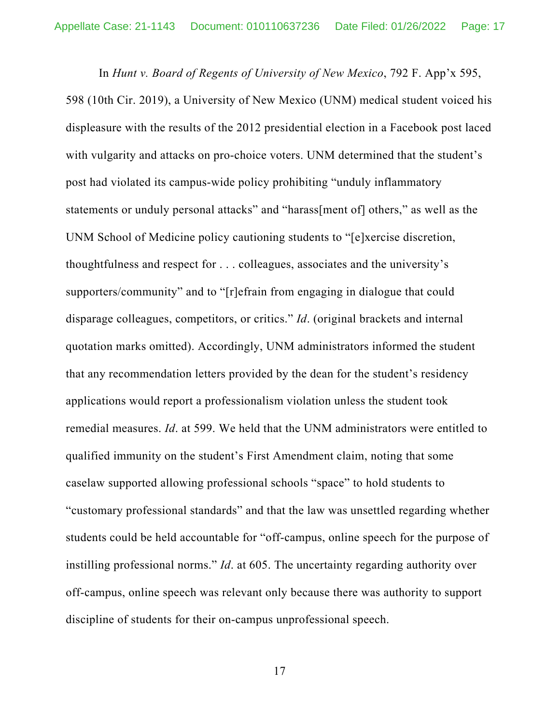In *Hunt v. Board of Regents of University of New Mexico*, 792 F. App'x 595, 598 (10th Cir. 2019), a University of New Mexico (UNM) medical student voiced his displeasure with the results of the 2012 presidential election in a Facebook post laced with vulgarity and attacks on pro-choice voters. UNM determined that the student's post had violated its campus-wide policy prohibiting "unduly inflammatory statements or unduly personal attacks" and "harass[ment of] others," as well as the UNM School of Medicine policy cautioning students to "[e]xercise discretion, thoughtfulness and respect for . . . colleagues, associates and the university's supporters/community" and to "[r]efrain from engaging in dialogue that could disparage colleagues, competitors, or critics." *Id*. (original brackets and internal quotation marks omitted). Accordingly, UNM administrators informed the student that any recommendation letters provided by the dean for the student's residency applications would report a professionalism violation unless the student took remedial measures. *Id*. at 599. We held that the UNM administrators were entitled to qualified immunity on the student's First Amendment claim, noting that some caselaw supported allowing professional schools "space" to hold students to "customary professional standards" and that the law was unsettled regarding whether students could be held accountable for "off-campus, online speech for the purpose of instilling professional norms." *Id*. at 605. The uncertainty regarding authority over off-campus, online speech was relevant only because there was authority to support discipline of students for their on-campus unprofessional speech.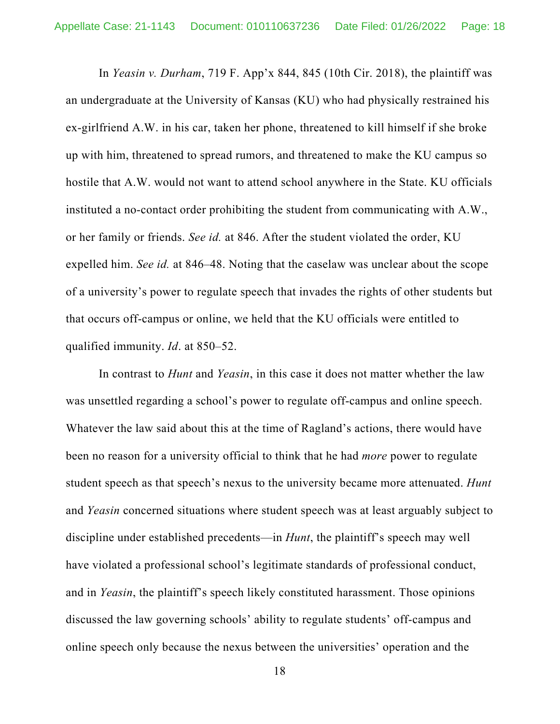In *Yeasin v. Durham*, 719 F. App'x 844, 845 (10th Cir. 2018), the plaintiff was an undergraduate at the University of Kansas (KU) who had physically restrained his ex-girlfriend A.W. in his car, taken her phone, threatened to kill himself if she broke up with him, threatened to spread rumors, and threatened to make the KU campus so hostile that A.W. would not want to attend school anywhere in the State. KU officials instituted a no-contact order prohibiting the student from communicating with A.W., or her family or friends. *See id.* at 846. After the student violated the order, KU expelled him. *See id.* at 846–48. Noting that the caselaw was unclear about the scope of a university's power to regulate speech that invades the rights of other students but that occurs off-campus or online, we held that the KU officials were entitled to qualified immunity. *Id*. at 850–52.

In contrast to *Hunt* and *Yeasin*, in this case it does not matter whether the law was unsettled regarding a school's power to regulate off-campus and online speech. Whatever the law said about this at the time of Ragland's actions, there would have been no reason for a university official to think that he had *more* power to regulate student speech as that speech's nexus to the university became more attenuated. *Hunt* and *Yeasin* concerned situations where student speech was at least arguably subject to discipline under established precedents—in *Hunt*, the plaintiff's speech may well have violated a professional school's legitimate standards of professional conduct, and in *Yeasin*, the plaintiff's speech likely constituted harassment. Those opinions discussed the law governing schools' ability to regulate students' off-campus and online speech only because the nexus between the universities' operation and the